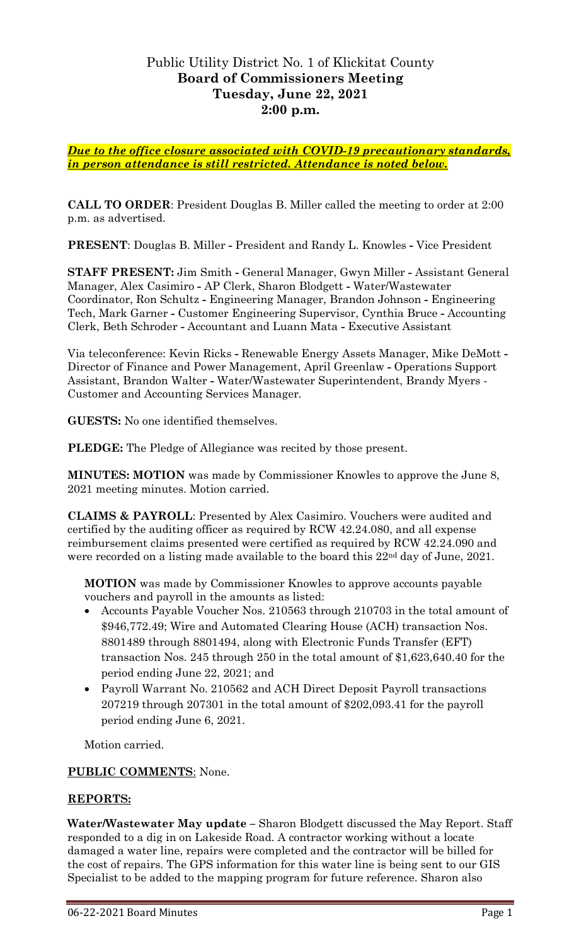# Public Utility District No. 1 of Klickitat County **Board of Commissioners Meeting Tuesday, June 22, 2021 2:00 p.m.**

*Due to the office closure associated with COVID-19 precautionary standards, in person attendance is still restricted. Attendance is noted below.*

**CALL TO ORDER**: President Douglas B. Miller called the meeting to order at 2:00 p.m. as advertised.

**PRESENT**: Douglas B. Miller **-** President and Randy L. Knowles **-** Vice President

**STAFF PRESENT:** Jim Smith **-** General Manager, Gwyn Miller **-** Assistant General Manager, Alex Casimiro **-** AP Clerk, Sharon Blodgett **-** Water/Wastewater Coordinator, Ron Schultz **-** Engineering Manager, Brandon Johnson **-** Engineering Tech, Mark Garner **-** Customer Engineering Supervisor, Cynthia Bruce **-** Accounting Clerk, Beth Schroder **-** Accountant and Luann Mata **-** Executive Assistant

Via teleconference: Kevin Ricks **-** Renewable Energy Assets Manager, Mike DeMott **-** Director of Finance and Power Management, April Greenlaw **-** Operations Support Assistant, Brandon Walter **-** Water/Wastewater Superintendent, Brandy Myers - Customer and Accounting Services Manager.

**GUESTS:** No one identified themselves.

**PLEDGE:** The Pledge of Allegiance was recited by those present.

**MINUTES: MOTION** was made by Commissioner Knowles to approve the June 8, 2021 meeting minutes. Motion carried.

**CLAIMS & PAYROLL**: Presented by Alex Casimiro. Vouchers were audited and certified by the auditing officer as required by RCW 42.24.080, and all expense reimbursement claims presented were certified as required by RCW 42.24.090 and were recorded on a listing made available to the board this 22<sup>nd</sup> day of June, 2021.

**MOTION** was made by Commissioner Knowles to approve accounts payable vouchers and payroll in the amounts as listed:

- Accounts Payable Voucher Nos. 210563 through 210703 in the total amount of \$946,772.49; Wire and Automated Clearing House (ACH) transaction Nos. 8801489 through 8801494, along with Electronic Funds Transfer (EFT) transaction Nos. 245 through 250 in the total amount of \$1,623,640.40 for the period ending June 22, 2021; and
- Payroll Warrant No. 210562 and ACH Direct Deposit Payroll transactions 207219 through 207301 in the total amount of \$202,093.41 for the payroll period ending June 6, 2021.

Motion carried.

## **PUBLIC COMMENTS**: None.

## **REPORTS:**

**Water/Wastewater May update –** Sharon Blodgett discussed the May Report. Staff responded to a dig in on Lakeside Road. A contractor working without a locate damaged a water line, repairs were completed and the contractor will be billed for the cost of repairs. The GPS information for this water line is being sent to our GIS Specialist to be added to the mapping program for future reference. Sharon also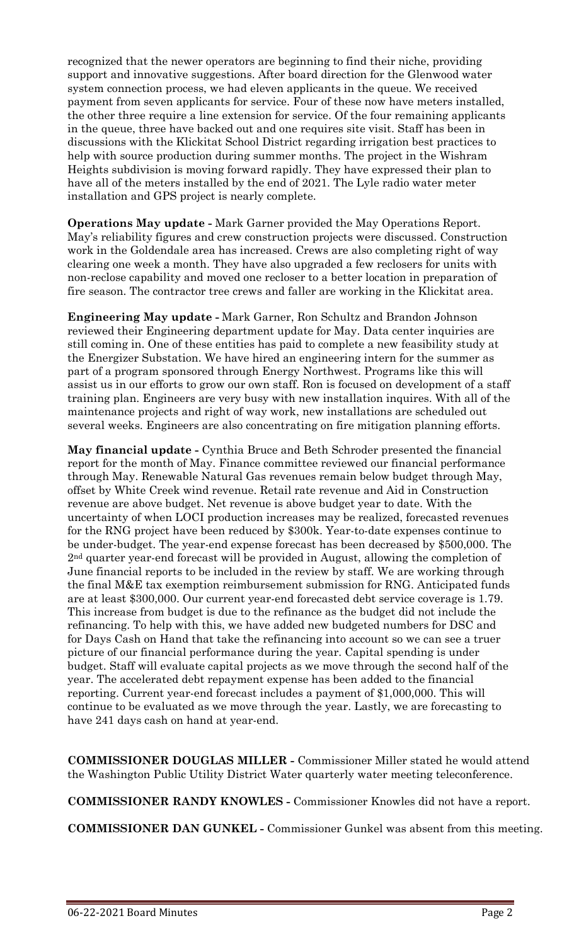recognized that the newer operators are beginning to find their niche, providing support and innovative suggestions. After board direction for the Glenwood water system connection process, we had eleven applicants in the queue. We received payment from seven applicants for service. Four of these now have meters installed, the other three require a line extension for service. Of the four remaining applicants in the queue, three have backed out and one requires site visit. Staff has been in discussions with the Klickitat School District regarding irrigation best practices to help with source production during summer months. The project in the Wishram Heights subdivision is moving forward rapidly. They have expressed their plan to have all of the meters installed by the end of 2021. The Lyle radio water meter installation and GPS project is nearly complete.

**Operations May update -** Mark Garner provided the May Operations Report. May's reliability figures and crew construction projects were discussed. Construction work in the Goldendale area has increased. Crews are also completing right of way clearing one week a month. They have also upgraded a few reclosers for units with non-reclose capability and moved one recloser to a better location in preparation of fire season. The contractor tree crews and faller are working in the Klickitat area.

**Engineering May update -** Mark Garner, Ron Schultz and Brandon Johnson reviewed their Engineering department update for May. Data center inquiries are still coming in. One of these entities has paid to complete a new feasibility study at the Energizer Substation. We have hired an engineering intern for the summer as part of a program sponsored through Energy Northwest. Programs like this will assist us in our efforts to grow our own staff. Ron is focused on development of a staff training plan. Engineers are very busy with new installation inquires. With all of the maintenance projects and right of way work, new installations are scheduled out several weeks. Engineers are also concentrating on fire mitigation planning efforts.

**May financial update -** Cynthia Bruce and Beth Schroder presented the financial report for the month of May. Finance committee reviewed our financial performance through May. Renewable Natural Gas revenues remain below budget through May, offset by White Creek wind revenue. Retail rate revenue and Aid in Construction revenue are above budget. Net revenue is above budget year to date. With the uncertainty of when LOCI production increases may be realized, forecasted revenues for the RNG project have been reduced by \$300k. Year-to-date expenses continue to be under-budget. The year-end expense forecast has been decreased by \$500,000. The 2nd quarter year-end forecast will be provided in August, allowing the completion of June financial reports to be included in the review by staff. We are working through the final M&E tax exemption reimbursement submission for RNG. Anticipated funds are at least \$300,000. Our current year-end forecasted debt service coverage is 1.79. This increase from budget is due to the refinance as the budget did not include the refinancing. To help with this, we have added new budgeted numbers for DSC and for Days Cash on Hand that take the refinancing into account so we can see a truer picture of our financial performance during the year. Capital spending is under budget. Staff will evaluate capital projects as we move through the second half of the year. The accelerated debt repayment expense has been added to the financial reporting. Current year-end forecast includes a payment of \$1,000,000. This will continue to be evaluated as we move through the year. Lastly, we are forecasting to have 241 days cash on hand at year-end.

**COMMISSIONER DOUGLAS MILLER -** Commissioner Miller stated he would attend the Washington Public Utility District Water quarterly water meeting teleconference.

**COMMISSIONER RANDY KNOWLES -** Commissioner Knowles did not have a report.

**COMMISSIONER DAN GUNKEL -** Commissioner Gunkel was absent from this meeting.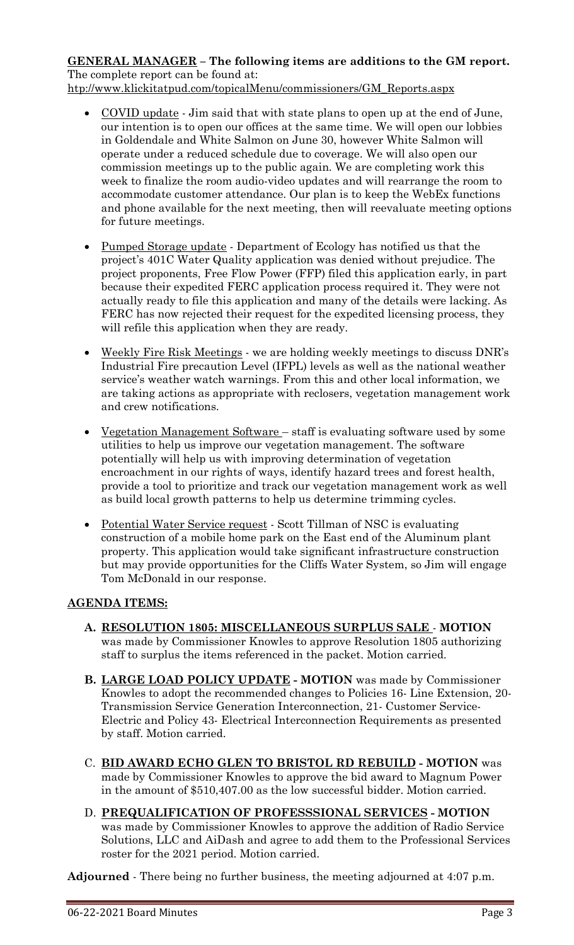# **GENERAL MANAGER – The following items are additions to the GM report.** The complete report can be found at:

[htp://www.klickitatpud.com/topicalMenu/commissioners/GM\\_Reports.aspx](http://www.klickitatpud.com/topicalMenu/commissioners/GM_Reports.aspx)

- COVID update Jim said that with state plans to open up at the end of June, our intention is to open our offices at the same time. We will open our lobbies in Goldendale and White Salmon on June 30, however White Salmon will operate under a reduced schedule due to coverage. We will also open our commission meetings up to the public again. We are completing work this week to finalize the room audio-video updates and will rearrange the room to accommodate customer attendance. Our plan is to keep the WebEx functions and phone available for the next meeting, then will reevaluate meeting options for future meetings.
- Pumped Storage update Department of Ecology has notified us that the project's 401C Water Quality application was denied without prejudice. The project proponents, Free Flow Power (FFP) filed this application early, in part because their expedited FERC application process required it. They were not actually ready to file this application and many of the details were lacking. As FERC has now rejected their request for the expedited licensing process, they will refile this application when they are ready.
- Weekly Fire Risk Meetings we are holding weekly meetings to discuss DNR's Industrial Fire precaution Level (IFPL) levels as well as the national weather service's weather watch warnings. From this and other local information, we are taking actions as appropriate with reclosers, vegetation management work and crew notifications.
- Vegetation Management Software staff is evaluating software used by some utilities to help us improve our vegetation management. The software potentially will help us with improving determination of vegetation encroachment in our rights of ways, identify hazard trees and forest health, provide a tool to prioritize and track our vegetation management work as well as build local growth patterns to help us determine trimming cycles.
- Potential Water Service request Scott Tillman of NSC is evaluating construction of a mobile home park on the East end of the Aluminum plant property. This application would take significant infrastructure construction but may provide opportunities for the Cliffs Water System, so Jim will engage Tom McDonald in our response.

# **AGENDA ITEMS:**

- **A. RESOLUTION 1805: MISCELLANEOUS SURPLUS SALE MOTION**  was made by Commissioner Knowles to approve Resolution 1805 authorizing staff to surplus the items referenced in the packet. Motion carried.
- **B. LARGE LOAD POLICY UPDATE - MOTION** was made by Commissioner Knowles to adopt the recommended changes to Policies 16- Line Extension, 20- Transmission Service Generation Interconnection, 21- Customer Service-Electric and Policy 43- Electrical Interconnection Requirements as presented by staff. Motion carried.
- C. **BID AWARD ECHO GLEN TO BRISTOL RD REBUILD - MOTION** was made by Commissioner Knowles to approve the bid award to Magnum Power in the amount of \$510,407.00 as the low successful bidder. Motion carried.
- D. **PREQUALIFICATION OF PROFESSSIONAL SERVICES - MOTION**  was made by Commissioner Knowles to approve the addition of Radio Service Solutions, LLC and AiDash and agree to add them to the Professional Services roster for the 2021 period. Motion carried.

**Adjourned** - There being no further business, the meeting adjourned at 4:07 p.m.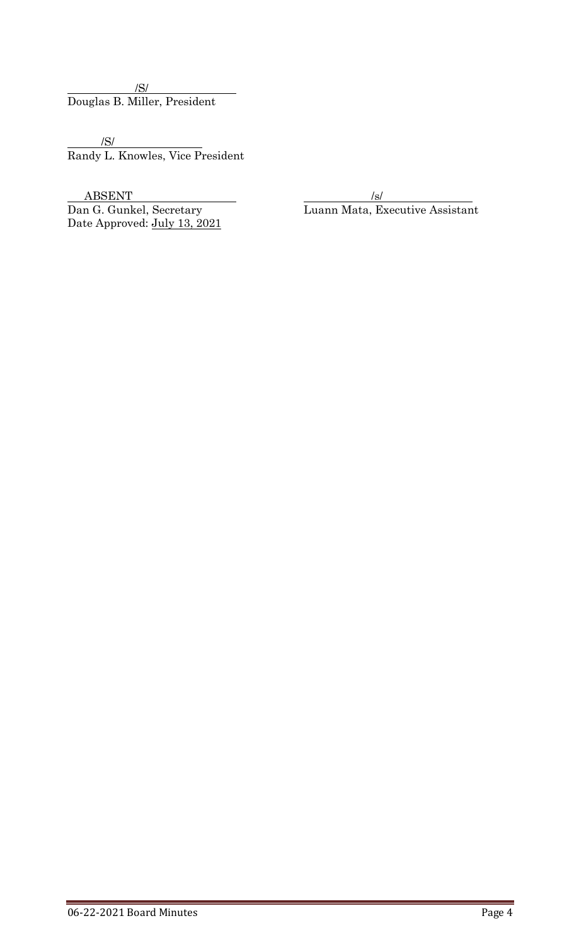/S/ Douglas B. Miller, President

/S/ Randy L. Knowles, Vice President

 $\begin{tabular}{c} ABSENT \\ \hline Dan G. Gunkel, Secretary \\ \end{tabular} \begin{tabular}{c} \hspace*{-0.1cm} & \hspace*{-0.1cm} & \hspace*{-0.1cm} & \hspace*{-0.1cm} & \hspace*{-0.1cm} & \hspace*{-0.1cm} & \hspace*{-0.1cm} & \hspace*{-0.1cm} & \hspace*{-0.1cm} & \hspace*{-0.1cm} & \hspace*{-0.1cm} & \hspace*{-0.1cm} & \hspace*{-0.1cm} & \hspace*{-0.1cm} & \hspace*{-0.1cm} & \hspace*{-0.1cm} & \hspace*{-0.1cm$ Date Approved: July 13, 2021

<u>Isleman Mata</u>, Executive Assistant